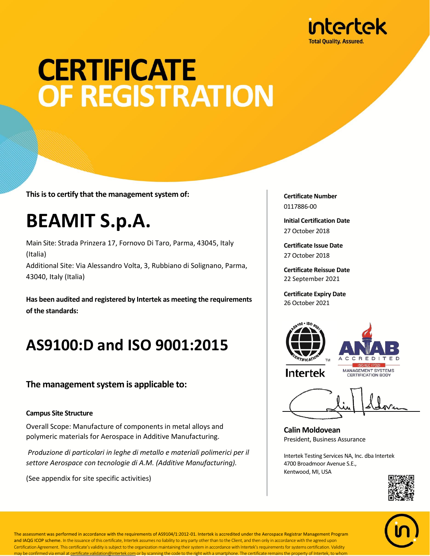

# **CERTIFICATE OF REGISTRATION**

**This is to certify that the management system of:**

## **BEAMIT S.p.A.**

Main Site: Strada Prinzera 17, Fornovo Di Taro, Parma, 43045, Italy (Italia) Additional Site: Via Alessandro Volta, 3, Rubbiano di Solignano, Parma, 43040, Italy (Italia)

**Has been audited and registered by Intertek as meeting the requirements of the standards:**

### **AS9100:D and ISO 9001:2015**

#### **The management system is applicable to:**

#### **Campus Site Structure**

Overall Scope: Manufacture of components in metal alloys and polymeric materials for Aerospace in Additive Manufacturing.

*Produzione di particolari in leghe di metallo e materiali polimerici per il settore Aerospace con tecnologie di A.M. (Additive Manufacturing).*

(See appendix for site specific activities)

**Certificate Number** 0117886-00

**Initial Certification Date** 27 October 2018

**Certificate Issue Date** 27 October 2018

**Certificate Reissue Date** 22 September 2021

**Certificate Expiry Date** 26 October 2021





**Intertek** 

MANAGEMENT SYSTEMS **CERTIFICATION BODY** 

**Calin Moldovean** President, Business Assurance

Intertek Testing Services NA, Inc. dba Intertek 4700 Broadmoor Avenue S.E., Kentwood, MI, USA





The assessment was performed in accordance with the requirements of AS9104/1:2012-01. Intertek is accredited under the Aerospace Registrar Management Program and IAQG ICOP scheme. In the issuance of this certificate, Intertek assumes no liability to any party other than to the Client, and then only in accordance with the agreed upon Certification Agreement. This certificate's validity is subject to the organization maintaining their system in accordance with Intertek's requirements for systems certification. Validity may be confirmed via email at certificate.validation@intertek.com or by scanning the code to the right with a smartphone. The certificate remains the property of Intertek, to whom